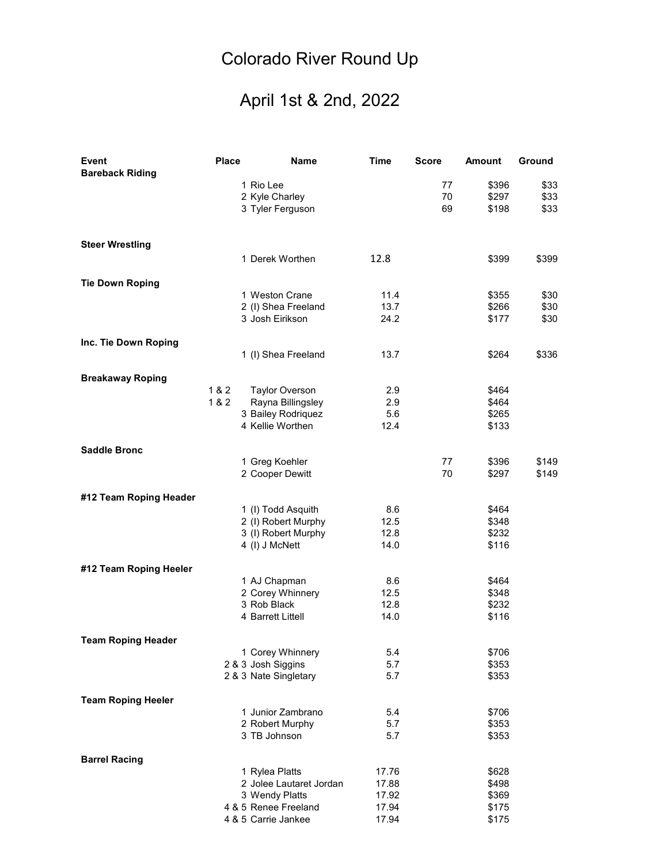## Colorado River Round Up

## April 1st & 2nd, 2022

| Event                     | <b>Place</b> | <b>Name</b>             | <b>Time</b> | <b>Score</b> | <b>Amount</b> | Ground |
|---------------------------|--------------|-------------------------|-------------|--------------|---------------|--------|
| <b>Bareback Riding</b>    |              |                         |             |              |               |        |
|                           |              | 1 Rio Lee               |             | 77           | \$396         | \$33   |
|                           |              | 2 Kyle Charley          |             | 70           | \$297         | \$33   |
|                           |              | 3 Tyler Ferguson        |             | 69           | \$198         | \$33   |
|                           |              |                         |             |              |               |        |
| <b>Steer Wrestling</b>    |              |                         |             |              |               |        |
|                           |              | 1 Derek Worthen         | 12.8        |              | \$399         |        |
|                           |              |                         |             |              |               | \$399  |
| <b>Tie Down Roping</b>    |              |                         |             |              |               |        |
|                           |              | 1 Weston Crane          | 11.4        |              | \$355         | \$30   |
|                           |              | 2 (I) Shea Freeland     | 13.7        |              | \$266         | \$30   |
|                           |              | 3 Josh Eirikson         | 24.2        |              | \$177         | \$30   |
| Inc. Tie Down Roping      |              |                         |             |              |               |        |
|                           |              | 1 (I) Shea Freeland     | 13.7        |              | \$264         | \$336  |
| <b>Breakaway Roping</b>   |              |                         |             |              |               |        |
|                           | 1 & 2        | <b>Taylor Overson</b>   | 2.9         |              | \$464         |        |
|                           | 1 & 2        | Rayna Billingsley       | 2.9         |              | \$464         |        |
|                           |              | 3 Bailey Rodriquez      | 5.6         |              | \$265         |        |
|                           |              | 4 Kellie Worthen        | 12.4        |              | \$133         |        |
|                           |              |                         |             |              |               |        |
| <b>Saddle Bronc</b>       |              |                         |             |              |               |        |
|                           |              | 1 Greg Koehler          |             | 77           | \$396         | \$149  |
|                           |              | 2 Cooper Dewitt         |             | 70           | \$297         | \$149  |
| #12 Team Roping Header    |              |                         |             |              |               |        |
|                           |              | 1 (I) Todd Asquith      | 8.6         |              | \$464         |        |
|                           |              | 2 (I) Robert Murphy     | 12.5        |              | \$348         |        |
|                           |              | 3 (I) Robert Murphy     | 12.8        |              | \$232         |        |
|                           |              | 4 (I) J McNett          | 14.0        |              | \$116         |        |
| #12 Team Roping Heeler    |              |                         |             |              |               |        |
|                           |              | 1 AJ Chapman            | 8.6         |              | \$464         |        |
|                           |              | 2 Corey Whinnery        | 12.5        |              | \$348         |        |
|                           |              | 3 Rob Black             | 12.8        |              | \$232         |        |
|                           |              | 4 Barrett Littell       | 14.0        |              | \$116         |        |
|                           |              |                         |             |              |               |        |
| <b>Team Roping Header</b> |              | 1 Corey Whinnery        | 5.4         |              | \$706         |        |
|                           |              | 2 & 3 Josh Siggins      | 5.7         |              | \$353         |        |
|                           |              | 2 & 3 Nate Singletary   | 5.7         |              | \$353         |        |
|                           |              |                         |             |              |               |        |
| <b>Team Roping Heeler</b> |              | 1 Junior Zambrano       | 5.4         |              | \$706         |        |
|                           |              | 2 Robert Murphy         | 5.7         |              | \$353         |        |
|                           |              | 3 TB Johnson            | 5.7         |              | \$353         |        |
|                           |              |                         |             |              |               |        |
| <b>Barrel Racing</b>      |              | 1 Rylea Platts          | 17.76       |              | \$628         |        |
|                           |              | 2 Jolee Lautaret Jordan | 17.88       |              | \$498         |        |
|                           |              | 3 Wendy Platts          | 17.92       |              | \$369         |        |
|                           |              | 4 & 5 Renee Freeland    | 17.94       |              | \$175         |        |
|                           |              | 4 & 5 Carrie Jankee     | 17.94       |              | \$175         |        |
|                           |              |                         |             |              |               |        |